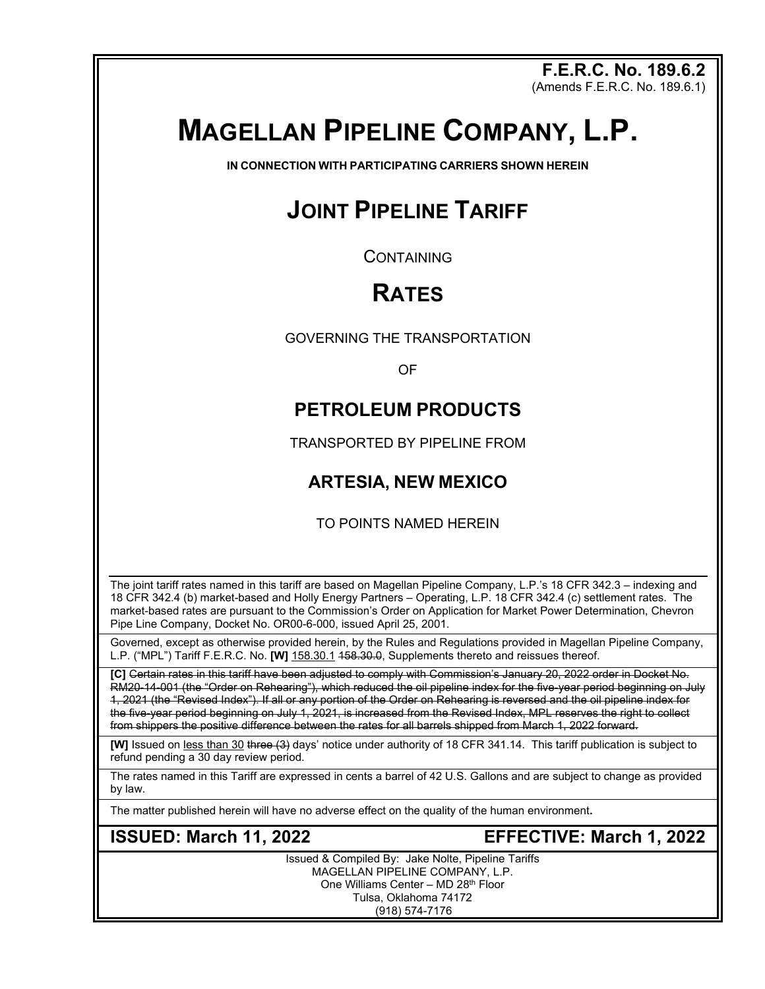**F.E.R.C. No. 189.6.2** (Amends F.E.R.C. No. 189.6.1)

# **MAGELLAN PIPELINE COMPANY, L.P.**

**IN CONNECTION WITH PARTICIPATING CARRIERS SHOWN HEREIN**

# **JOINT PIPELINE TARIFF**

**CONTAINING** 

# **RATES**

GOVERNING THE TRANSPORTATION

OF

## **PETROLEUM PRODUCTS**

TRANSPORTED BY PIPELINE FROM

## **ARTESIA, NEW MEXICO**

TO POINTS NAMED HEREIN

The joint tariff rates named in this tariff are based on Magellan Pipeline Company, L.P.'s 18 CFR 342.3 – indexing and 18 CFR 342.4 (b) market-based and Holly Energy Partners – Operating, L.P. 18 CFR 342.4 (c) settlement rates. The market-based rates are pursuant to the Commission's Order on Application for Market Power Determination, Chevron Pipe Line Company, Docket No. OR00-6-000, issued April 25, 2001.

Governed, except as otherwise provided herein, by the Rules and Regulations provided in Magellan Pipeline Company, L.P. ("MPL") Tariff F.E.R.C. No. **[W]** 158.30.1 158.30.0, Supplements thereto and reissues thereof.

**[C]** Certain rates in this tariff have been adjusted to comply with Commission's January 20, 2022 order in Docket No. RM20-14-001 (the "Order on Rehearing"), which reduced the oil pipeline index for the five-year period beginning on July 1, 2021 (the "Revised Index"). If all or any portion of the Order on Rehearing is reversed and the oil pipeline index for the five-year period beginning on July 1, 2021, is increased from the Revised Index, MPL reserves the right to collect from shippers the positive difference between the rates for all barrels shipped from March 1, 2022 forward.

**[W]** Issued on less than 30 three (3) days' notice under authority of 18 CFR 341.14. This tariff publication is subject to refund pending a 30 day review period.

The rates named in this Tariff are expressed in cents a barrel of 42 U.S. Gallons and are subject to change as provided by law.

The matter published herein will have no adverse effect on the quality of the human environment**.**

**ISSUED: March 11, 2022 EFFECTIVE: March 1, 2022**

Issued & Compiled By: Jake Nolte, Pipeline Tariffs MAGELLAN PIPELINE COMPANY, L.P. One Williams Center – MD 28th Floor Tulsa, Oklahoma 74172 (918) 574-7176